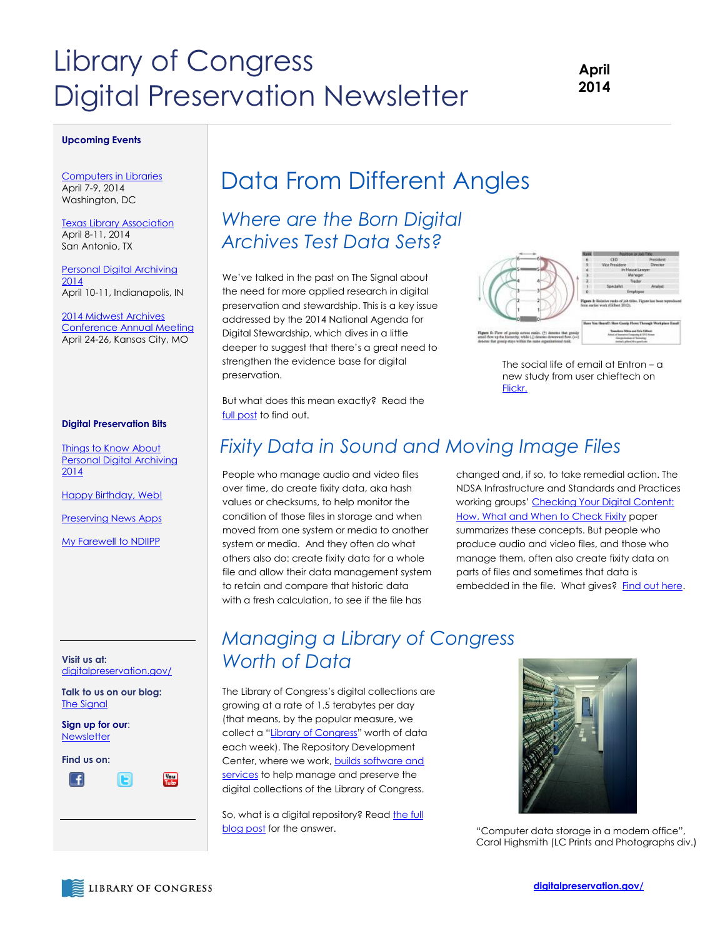# Library of Congress Digital Preservation Newsletter

### **April 2014**

#### **Upcoming Events**

[Computers in Libraries](http://www.infotoday.com/cil2014/) April 7-9, 2014 Washington, DC

[Texas Library Association](http://www.txla.org/annual-conference) April 8-11, 2014 San Antonio, TX

[Personal Digital Archiving](http://visions.indstate.edu/pda2014/)  [2014](http://visions.indstate.edu/pda2014/) April 10-11, Indianapolis, IN

[2014 Midwest Archives](http://www.midwestarchives.org/2014-annual-meeting)  [Conference Annual Meeting](http://www.midwestarchives.org/2014-annual-meeting) April 24-26, Kansas City, MO

#### **Digital Preservation Bits**

[Things to Know About](http://blogs.loc.gov/digitalpreservation/2014/03/things-to-know-about-personal-digital-archiving-2014/)  [Personal Digital Archiving](http://blogs.loc.gov/digitalpreservation/2014/03/things-to-know-about-personal-digital-archiving-2014/)  [2014](http://blogs.loc.gov/digitalpreservation/2014/03/things-to-know-about-personal-digital-archiving-2014/)

[Happy Birthday, Web!](http://blogs.loc.gov/digitalpreservation/2014/03/happy-birthday-web/)

[Preserving News Apps](http://blogs.loc.gov/digitalpreservation/2014/03/preserving-news-apps/)

[My Farewell to NDIIPP](http://blogs.loc.gov/digitalpreservation/2014/03/farewell-to-ndiipp/)

**Visit us at:**  [digitalpreservation.gov/](http://www.digitalpreservation.gov/)

**Talk to us on our blog:**  [The Signal](http://blogs.loc.gov/digitalpreservation/)

**Sign up for our**: [Newsletter](https://public.govdelivery.com/accounts/USLOC/subscriber/new?)

**Find us on:**

L£

# Data From Different Angles

### *Where are the Born Digital Archives Test Data Sets?*

We've talked in the past on The Signal about the need for more applied research in digital preservation and stewardship. This is a key issue addressed by the 2014 National Agenda for Digital Stewardship, which dives in a little deeper to suggest that there's a great need to strengthen the evidence base for digital preservation.



The social life of email at Entron – a new study from user chieftech on [Flickr.](https://www.flickr.com/photos/chieftech/7383203932/in/photolist-cfqRiw-ex7ebU-jtYb9-mqJ6B/)

But what does this mean exactly? Read the [full post](http://blogs.loc.gov/digitalpreservation/2014/03/where-are-the-born-digital-archives-test-data-sets/) to find out.

### *Fixity Data in Sound and Moving Image Files*

People who manage audio and video files over time, do create fixity data, aka hash values or checksums, to help monitor the condition of those files in storage and when moved from one system or media to another system or media. And they often do what others also do: create fixity data for a whole file and allow their data management system to retain and compare that historic data with a fresh calculation, to see if the file has

changed and, if so, to take remedial action. The NDSA Infrastructure and Standards and Practices working groups' Checking Your Digital Content: [How, What and When to Check Fixity](http://blogs.loc.gov/digitalpreservation/2014/02/check-yourself-how-and-when-to-check-fixity/) paper summarizes these concepts. But people who produce audio and video files, and those who manage them, often also create fixity data on parts of files and sometimes that data is embedded in the file. What gives? [Find out here.](http://blogs.loc.gov/digitalpreservation/2014/03/its-not-just-integrity-fixity-data-in-digital-sound-and-moving-image-files/)

### *Managing a Library of Congress Worth of Data* Rea[d the full story](http://blogs.loc.gov/digitalpreservation/2014/02/digital-preservation-pioneer-bill-lefurgy/) about

The Library of Congress's digital collections are growing at a rate of 1.5 terabytes per day (that means, by the popular measure, we collect a "[Library of Congress](http://en.wikipedia.org/wiki/List_of_unusual_units_of_measurement#Data_volume)" worth of data each week). The Repository Development Center, where we work, builds software and [services](http://blogs.loc.gov/digitalpreservation/2011/08/yes-the-library-of-congress-develops-lots-of-software-tools/?loclr=blogsig) to help manage and preserve the digital collections of the Library of Congress.

So, what is a digital repository? Read the full [blog post](http://blogs.loc.gov/digitalpreservation/2014/03/managing-a-library-of-congress-worth-of-data/) for the answer.



"Computer data storage in a modern office", Carol Highsmith (LC Prints and Photographs div.)

鹽